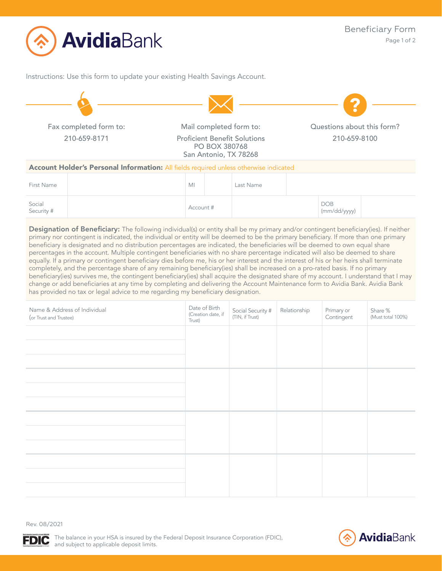

Instructions: Use this form to update your existing Health Savings Account.



Social DOB<br>Security #  $\begin{array}{|c|c|c|c|c|}\hline \text{Social} & & & \text{DOB} & \text{OOD} \ \hline \end{array}$ (mm/dd/yyyy) Designation of Beneficiary: The following individual(s) or entity shall be my primary and/or contingent beneficiary(ies). If neither primary nor contingent is indicated, the individual or entity will be deemed to be the primary beneficiary. If more than one primary beneficiary is designated and no distribution percentages are indicated, the beneficiaries will be deemed to own equal share percentages in the account. Multiple contingent beneficiaries with no share percentage indicated will also be deemed to share equally. If a primary or contingent beneficiary dies before me, his or her interest and the interest of his or her heirs shall terminate

completely, and the percentage share of any remaining beneficiary(ies) shall be increased on a pro-rated basis. If no primary beneficiary(ies) survives me, the contingent beneficiary(ies) shall acquire the designated share of my account. I understand that I may change or add beneficiaries at any time by completing and delivering the Account Maintenance form to Avidia Bank. Avidia Bank has provided no tax or legal advice to me regarding my beneficiary designation.

| Name & Address of Individual<br>(or Trust and Trustee) | Date of Birth<br>(Creation date, if<br>Trust) | Social Security #<br>(TIN, if Trust) | Relationship | Primary or<br>Contingent | Share %<br>(Must total 100%) |
|--------------------------------------------------------|-----------------------------------------------|--------------------------------------|--------------|--------------------------|------------------------------|
|                                                        |                                               |                                      |              |                          |                              |
|                                                        |                                               |                                      |              |                          |                              |
|                                                        |                                               |                                      |              |                          |                              |
|                                                        |                                               |                                      |              |                          |                              |
|                                                        |                                               |                                      |              |                          |                              |
|                                                        |                                               |                                      |              |                          |                              |
|                                                        |                                               |                                      |              |                          |                              |
|                                                        |                                               |                                      |              |                          |                              |

**FDIC**